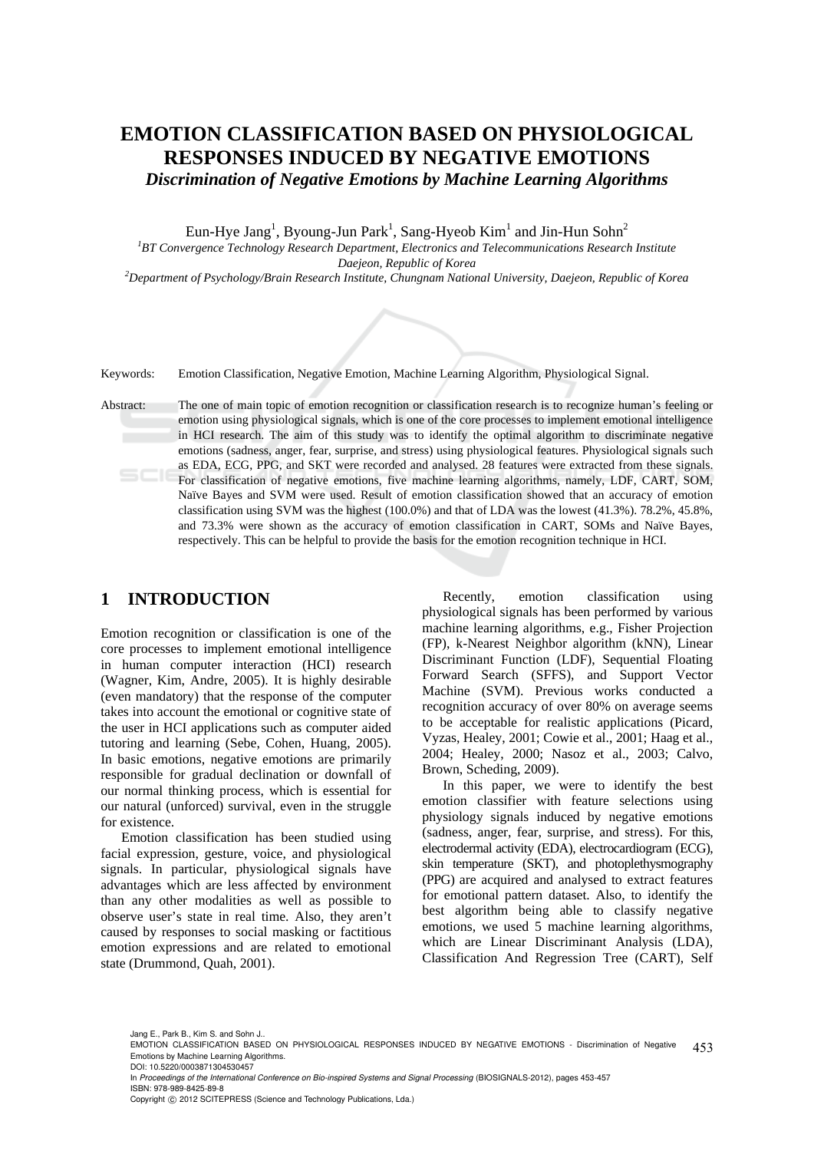# **EMOTION CLASSIFICATION BASED ON PHYSIOLOGICAL RESPONSES INDUCED BY NEGATIVE EMOTIONS**  *Discrimination of Negative Emotions by Machine Learning Algorithms*

Eun-Hye Jang<sup>1</sup>, Byoung-Jun Park<sup>1</sup>, Sang-Hyeob Kim<sup>1</sup> and Jin-Hun Sohn<sup>2</sup>

*1 BT Convergence Technology Research Department, Electronics and Telecommunications Research Institute Daejeon, Republic of Korea 2 Department of Psychology/Brain Research Institute, Chungnam National University, Daejeon, Republic of Korea* 

Keywords: Emotion Classification, Negative Emotion, Machine Learning Algorithm, Physiological Signal.

Abstract: The one of main topic of emotion recognition or classification research is to recognize human's feeling or emotion using physiological signals, which is one of the core processes to implement emotional intelligence in HCI research. The aim of this study was to identify the optimal algorithm to discriminate negative emotions (sadness, anger, fear, surprise, and stress) using physiological features. Physiological signals such as EDA, ECG, PPG, and SKT were recorded and analysed. 28 features were extracted from these signals. For classification of negative emotions, five machine learning algorithms, namely, LDF, CART, SOM, Naïve Bayes and SVM were used. Result of emotion classification showed that an accuracy of emotion classification using SVM was the highest (100.0%) and that of LDA was the lowest (41.3%). 78.2%, 45.8%, and 73.3% were shown as the accuracy of emotion classification in CART, SOMs and Naïve Bayes, respectively. This can be helpful to provide the basis for the emotion recognition technique in HCI.

## **1 INTRODUCTION**

Emotion recognition or classification is one of the core processes to implement emotional intelligence in human computer interaction (HCI) research (Wagner, Kim, Andre, 2005). It is highly desirable (even mandatory) that the response of the computer takes into account the emotional or cognitive state of the user in HCI applications such as computer aided tutoring and learning (Sebe, Cohen, Huang, 2005). In basic emotions, negative emotions are primarily responsible for gradual declination or downfall of our normal thinking process, which is essential for our natural (unforced) survival, even in the struggle for existence.

Emotion classification has been studied using facial expression, gesture, voice, and physiological signals. In particular, physiological signals have advantages which are less affected by environment than any other modalities as well as possible to observe user's state in real time. Also, they aren't caused by responses to social masking or factitious emotion expressions and are related to emotional state (Drummond, Quah, 2001).

Recently, emotion classification using physiological signals has been performed by various machine learning algorithms, e.g., Fisher Projection (FP), k-Nearest Neighbor algorithm (kNN), Linear Discriminant Function (LDF), Sequential Floating Forward Search (SFFS), and Support Vector Machine (SVM). Previous works conducted a recognition accuracy of over 80% on average seems to be acceptable for realistic applications (Picard, Vyzas, Healey, 2001; Cowie et al., 2001; Haag et al., 2004; Healey, 2000; Nasoz et al., 2003; Calvo, Brown, Scheding, 2009).

In this paper, we were to identify the best emotion classifier with feature selections using physiology signals induced by negative emotions (sadness, anger, fear, surprise, and stress). For this, electrodermal activity (EDA), electrocardiogram (ECG), skin temperature (SKT), and photoplethysmography (PPG) are acquired and analysed to extract features for emotional pattern dataset. Also, to identify the best algorithm being able to classify negative emotions, we used 5 machine learning algorithms, which are Linear Discriminant Analysis (LDA), Classification And Regression Tree (CART), Self

Jang E., Park B., Kim S. and Sohn J..

In *Proceedings of the International Conference on Bio-inspired Systems and Signal Processing* (BIOSIGNALS-2012), pages 453-457 ISBN: 978-989-8425-89-8

<sup>453</sup> EMOTION CLASSIFICATION BASED ON PHYSIOLOGICAL RESPONSES INDUCED BY NEGATIVE EMOTIONS - Discrimination of Negative Emotions by Machine Learning Algorithms. DOI: 10.5220/0003871304530457

Copyright © 2012 SCITEPRESS (Science and Technology Publications, Lda.)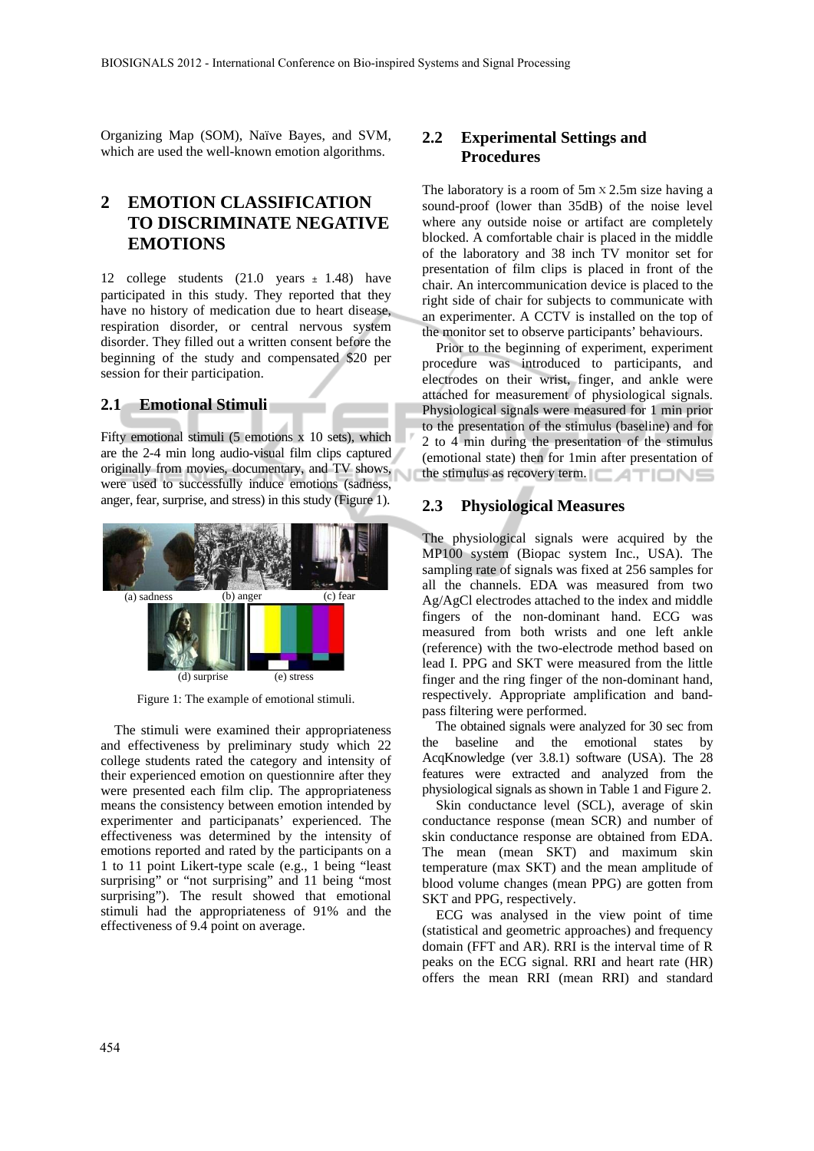Organizing Map (SOM), Naïve Bayes, and SVM, which are used the well-known emotion algorithms.

## **2 EMOTION CLASSIFICATION TO DISCRIMINATE NEGATIVE EMOTIONS**

12 college students (21.0 years ± 1.48) have participated in this study. They reported that they have no history of medication due to heart disease, respiration disorder, or central nervous system disorder. They filled out a written consent before the beginning of the study and compensated \$20 per session for their participation.

#### **2.1 Emotional Stimuli**

Fifty emotional stimuli (5 emotions x 10 sets), which are the 2-4 min long audio-visual film clips captured originally from movies, documentary, and TV shows, were used to successfully induce emotions (sadness, anger, fear, surprise, and stress) in this study (Figure 1).



Figure 1: The example of emotional stimuli.

The stimuli were examined their appropriateness and effectiveness by preliminary study which 22 college students rated the category and intensity of their experienced emotion on questionnire after they were presented each film clip. The appropriateness means the consistency between emotion intended by experimenter and participanats' experienced. The effectiveness was determined by the intensity of emotions reported and rated by the participants on a 1 to 11 point Likert-type scale (e.g., 1 being "least surprising" or "not surprising" and 11 being "most surprising"). The result showed that emotional stimuli had the appropriateness of 91% and the effectiveness of 9.4 point on average.

### **2.2 Experimental Settings and Procedures**

The laboratory is a room of  $5m \times 2.5m$  size having a sound-proof (lower than 35dB) of the noise level where any outside noise or artifact are completely blocked. A comfortable chair is placed in the middle of the laboratory and 38 inch TV monitor set for presentation of film clips is placed in front of the chair. An intercommunication device is placed to the right side of chair for subjects to communicate with an experimenter. A CCTV is installed on the top of the monitor set to observe participants' behaviours.

Prior to the beginning of experiment, experiment procedure was introduced to participants, and electrodes on their wrist, finger, and ankle were attached for measurement of physiological signals. Physiological signals were measured for 1 min prior to the presentation of the stimulus (baseline) and for 2 to 4 min during the presentation of the stimulus (emotional state) then for 1min after presentation of the stimulus as recovery term.

#### **2.3 Physiological Measures**

The physiological signals were acquired by the MP100 system (Biopac system Inc., USA). The sampling rate of signals was fixed at 256 samples for all the channels. EDA was measured from two Ag/AgCl electrodes attached to the index and middle fingers of the non-dominant hand. ECG was measured from both wrists and one left ankle (reference) with the two-electrode method based on lead I. PPG and SKT were measured from the little finger and the ring finger of the non-dominant hand, respectively. Appropriate amplification and bandpass filtering were performed.

The obtained signals were analyzed for 30 sec from the baseline and the emotional states by AcqKnowledge (ver 3.8.1) software (USA). The 28 features were extracted and analyzed from the physiological signals as shown in Table 1 and Figure 2.

Skin conductance level (SCL), average of skin conductance response (mean SCR) and number of skin conductance response are obtained from EDA. The mean (mean SKT) and maximum skin temperature (max SKT) and the mean amplitude of blood volume changes (mean PPG) are gotten from SKT and PPG, respectively.

ECG was analysed in the view point of time (statistical and geometric approaches) and frequency domain (FFT and AR). RRI is the interval time of R peaks on the ECG signal. RRI and heart rate (HR) offers the mean RRI (mean RRI) and standard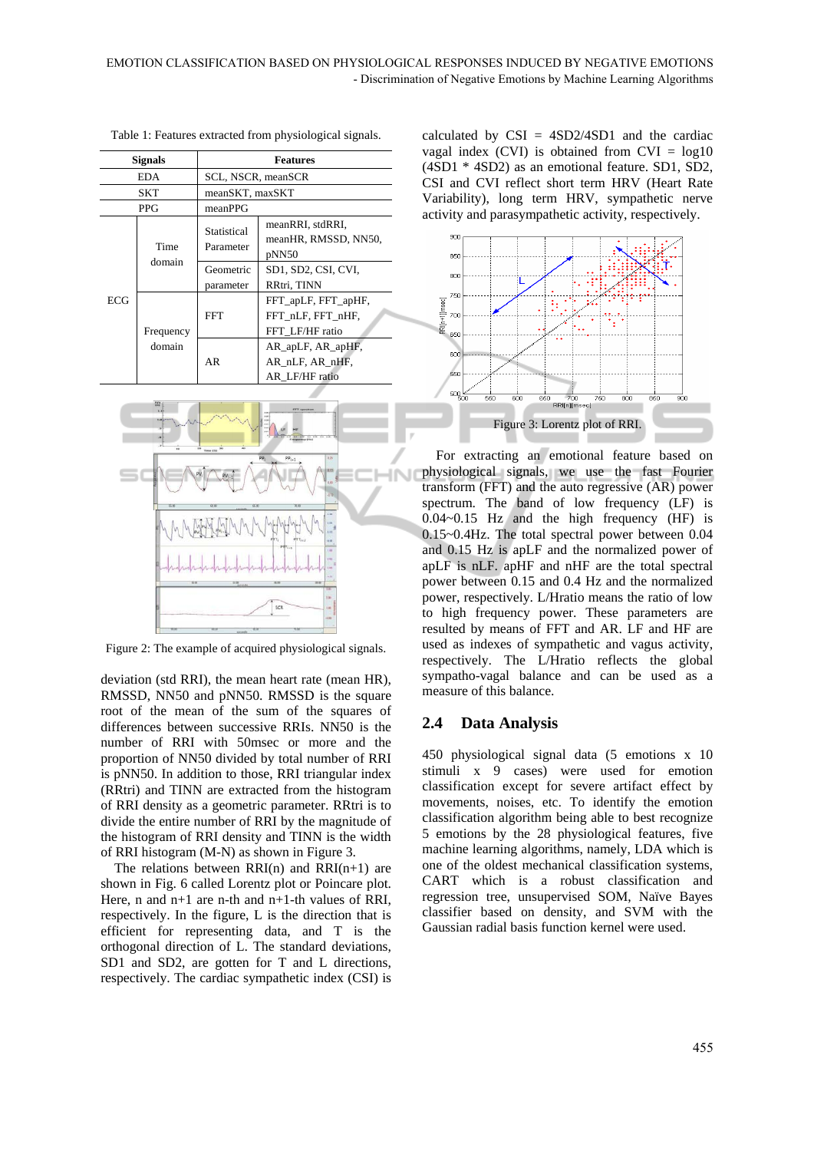| <b>Signals</b> |                     | <b>Features</b>          |                                                                                          |  |  |
|----------------|---------------------|--------------------------|------------------------------------------------------------------------------------------|--|--|
| <b>EDA</b>     |                     | SCL, NSCR, meanSCR       |                                                                                          |  |  |
| SKT            |                     | meanSKT, maxSKT          |                                                                                          |  |  |
|                | <b>PPG</b>          | meanPPG                  |                                                                                          |  |  |
|                | Time<br>domain      | Statistical<br>Parameter | meanRRI, stdRRI,<br>meanHR, RMSSD, NN50,<br>pNN50                                        |  |  |
|                |                     | Geometric<br>parameter   | SD1, SD2, CSI, CVI,<br>RRtri, TINN                                                       |  |  |
| ECG            | Frequency<br>domain | FFT                      | FFT_apLF, FFT_apHF,<br>FFT nLF, FFT nHF,<br>FFT LF/HF ratio                              |  |  |
|                |                     | AR                       | $AR$ <sub>ap</sub> $LF$ , $AR$ <sub>ap</sub> $HF$ ,<br>AR nLF, AR nHF,<br>AR LF/HF ratio |  |  |



Figure 2: The example of acquired physiological signals.

deviation (std RRI), the mean heart rate (mean HR), RMSSD, NN50 and pNN50. RMSSD is the square root of the mean of the sum of the squares of differences between successive RRIs. NN50 is the number of RRI with 50msec or more and the proportion of NN50 divided by total number of RRI is pNN50. In addition to those, RRI triangular index (RRtri) and TINN are extracted from the histogram of RRI density as a geometric parameter. RRtri is to divide the entire number of RRI by the magnitude of the histogram of RRI density and TINN is the width of RRI histogram (M-N) as shown in Figure 3.

The relations between  $RRI(n)$  and  $RRI(n+1)$  are shown in Fig. 6 called Lorentz plot or Poincare plot. Here, n and n+1 are n-th and n+1-th values of RRI, respectively. In the figure, L is the direction that is efficient for representing data, and T is the orthogonal direction of L. The standard deviations, SD1 and SD2, are gotten for T and L directions, respectively. The cardiac sympathetic index (CSI) is calculated by  $CSI = 4SD2/4SD1$  and the cardiac vagal index (CVI) is obtained from  $CVI = log10$ (4SD1 \* 4SD2) as an emotional feature. SD1, SD2, CSI and CVI reflect short term HRV (Heart Rate Variability), long term HRV, sympathetic nerve activity and parasympathetic activity, respectively.



For extracting an emotional feature based on physiological signals, we use the fast Fourier transform (FFT) and the auto regressive (AR) power spectrum. The band of low frequency (LF) is 0.04~0.15 Hz and the high frequency (HF) is 0.15~0.4Hz. The total spectral power between 0.04 and 0.15 Hz is apLF and the normalized power of apLF is nLF. apHF and nHF are the total spectral power between 0.15 and 0.4 Hz and the normalized power, respectively. L/Hratio means the ratio of low to high frequency power. These parameters are resulted by means of FFT and AR. LF and HF are used as indexes of sympathetic and vagus activity, respectively. The L/Hratio reflects the global sympatho-vagal balance and can be used as a measure of this balance.

### **2.4 Data Analysis**

450 physiological signal data (5 emotions x 10 stimuli x 9 cases) were used for emotion classification except for severe artifact effect by movements, noises, etc. To identify the emotion classification algorithm being able to best recognize 5 emotions by the 28 physiological features, five machine learning algorithms, namely, LDA which is one of the oldest mechanical classification systems, CART which is a robust classification and regression tree, unsupervised SOM, Naïve Bayes classifier based on density, and SVM with the Gaussian radial basis function kernel were used.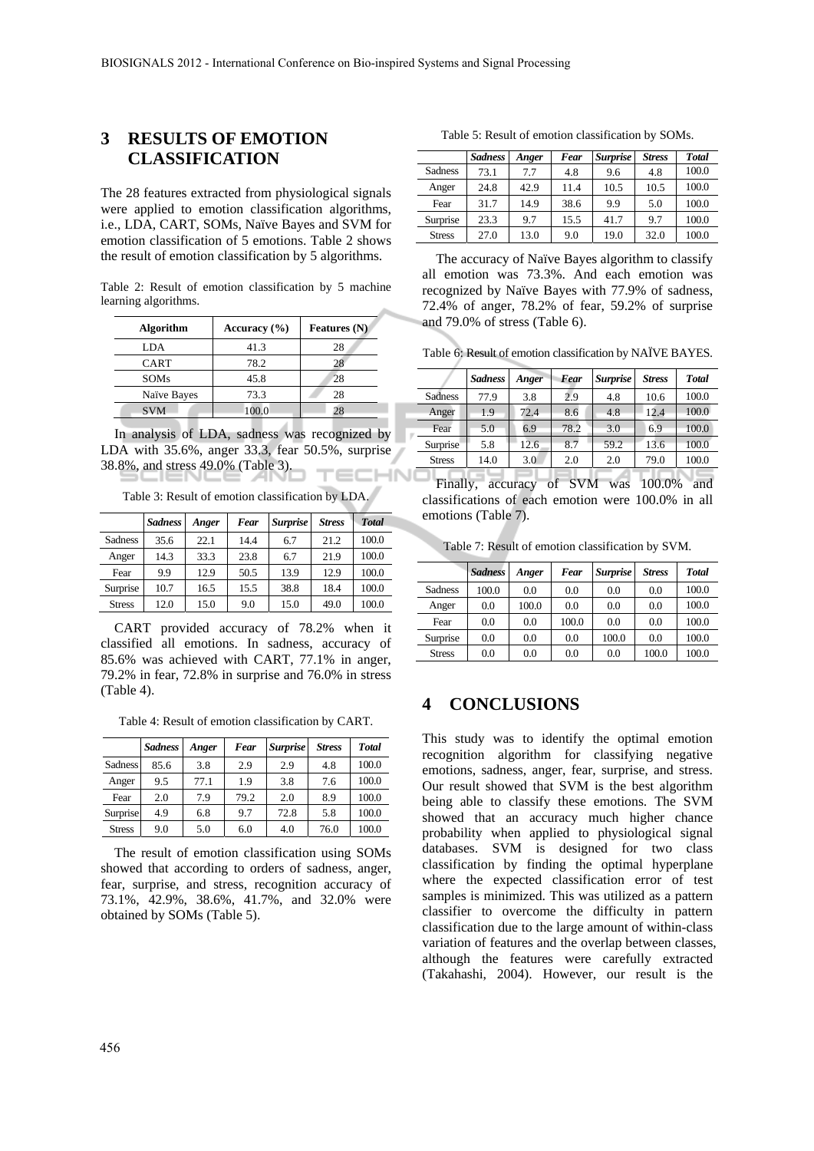## **3 RESULTS OF EMOTION CLASSIFICATION**

The 28 features extracted from physiological signals were applied to emotion classification algorithms, i.e., LDA, CART, SOMs, Naïve Bayes and SVM for emotion classification of 5 emotions. Table 2 shows the result of emotion classification by 5 algorithms.

Table 2: Result of emotion classification by 5 machine learning algorithms.

| <b>Algorithm</b> | Accuracy $(\% )$ | <b>Features</b> (N) |  |  |
|------------------|------------------|---------------------|--|--|
| LDA              | 41.3             | 28                  |  |  |
| CART             | 78.2             | 28                  |  |  |
| <b>SOMs</b>      | 45.8             | 28                  |  |  |
| Naïve Bayes      | 73.3             | 28                  |  |  |
| <b>SVM</b>       | 100.0            | 28                  |  |  |

In analysis of LDA, sadness was recognized by LDA with 35.6%, anger 33.3, fear 50.5%, surprise 38.8%, and stress 49.0% (Table 3).

Table 3: Result of emotion classification by LDA.

|                | <b>Sadness</b> | Anger | Fear | <b>Surprise</b> | <b>Stress</b> | <b>Total</b> |
|----------------|----------------|-------|------|-----------------|---------------|--------------|
| <b>Sadness</b> | 35.6           | 22.1  | 14.4 | 6.7             | 21.2          | 100.0        |
| Anger          | 14.3           | 33.3  | 23.8 | 6.7             | 21.9          | 100.0        |
| Fear           | 9.9            | 12.9  | 50.5 | 13.9            | 12.9          | 100.0        |
| Surprise       | 10.7           | 16.5  | 15.5 | 38.8            | 18.4          | 100.0        |
| <b>Stress</b>  | 12.0           | 15.0  | 9.0  | 15.0            | 49.0          | 100.0        |

CART provided accuracy of 78.2% when it classified all emotions. In sadness, accuracy of 85.6% was achieved with CART, 77.1% in anger, 79.2% in fear, 72.8% in surprise and 76.0% in stress (Table 4).

Table 4: Result of emotion classification by CART.

|                | <b>Sadness</b> | Anger | Fear | <b>Surprise</b> | <b>Stress</b> | <b>Total</b> |
|----------------|----------------|-------|------|-----------------|---------------|--------------|
| <b>Sadness</b> | 85.6           | 3.8   | 2.9  | 2.9             | 4.8           | 100.0        |
| Anger          | 9.5            | 77.1  | 1.9  | 3.8             | 7.6           | 100.0        |
| Fear           | 2.0            | 7.9   | 79.2 | 2.0             | 8.9           | 100.0        |
| Surprise       | 4.9            | 6.8   | 9.7  | 72.8            | 5.8           | 100.0        |
| <b>Stress</b>  | 9.0            | 5.0   | 6.0  | 4.0             | 76.0          | 100.0        |

The result of emotion classification using SOMs showed that according to orders of sadness, anger, fear, surprise, and stress, recognition accuracy of 73.1%, 42.9%, 38.6%, 41.7%, and 32.0% were obtained by SOMs (Table 5).

Table 5: Result of emotion classification by SOMs.

|                | <b>Sadness</b> | Anger | Fear | <b>Surprise</b> | <b>Stress</b> | <b>Total</b> |
|----------------|----------------|-------|------|-----------------|---------------|--------------|
| <b>Sadness</b> | 73.1           | 7.7   | 4.8  | 9.6             | 4.8           | 100.0        |
| Anger          | 24.8           | 42.9  | 11.4 | 10.5            | 10.5          | 100.0        |
| Fear           | 31.7           | 14.9  | 38.6 | 9.9             | 5.0           | 100.0        |
| Surprise       | 23.3           | 9.7   | 15.5 | 41.7            | 9.7           | 100.0        |
| <b>Stress</b>  | 27.0           | 13.0  | 9.0  | 19.0            | 32.0          | 100.0        |

The accuracy of Naïve Bayes algorithm to classify all emotion was 73.3%. And each emotion was recognized by Naïve Bayes with 77.9% of sadness, 72.4% of anger, 78.2% of fear, 59.2% of surprise and 79.0% of stress (Table 6).

Table 6: Result of emotion classification by NAÏVE BAYES.

|                | <b>Sadness</b> | Anger | Fear | <b>Surprise</b> | <b>Stress</b> | <b>Total</b> |
|----------------|----------------|-------|------|-----------------|---------------|--------------|
| <b>Sadness</b> | 77.9           | 3.8   | 2.9  | 4.8             | 10.6          | 100.0        |
| Anger          | 1.9            | 72.4  | 8.6  | 4.8             | 12.4          | 100.0        |
| Fear           | 5.0            | 6.9   | 78.2 | 3.0             | 6.9           | 100.0        |
| Surprise       | 5.8            | 12.6  | 8.7  | 59.2            | 13.6          | 100.0        |
| <b>Stress</b>  | 14.0           | 3.0   | 2.0  | 2.0             | 79.0          | 100.0        |
|                |                |       |      |                 |               |              |

Finally, accuracy of SVM was 100.0% and classifications of each emotion were 100.0% in all emotions (Table 7).

Table 7: Result of emotion classification by SVM.

|                | <b>Sadness</b> | Anger | Fear  | <b>Surprise</b> | <b>Stress</b> | <b>Total</b> |
|----------------|----------------|-------|-------|-----------------|---------------|--------------|
| <b>Sadness</b> | 100.0          | 0.0   | 0.0   | 0.0             | 0.0           | 100.0        |
| Anger          | 0.0            | 100.0 | 0.0   | 0.0             | 0.0           | 100.0        |
| Fear           | 0.0            | 0.0   | 100.0 | 0.0             | 0.0           | 100.0        |
| Surprise       | 0.0            | 0.0   | 0.0   | 100.0           | 0.0           | 100.0        |
| <b>Stress</b>  | 0.0            | 0.0   | 0.0   | 0.0             | 100.0         | 100.0        |

## **4 CONCLUSIONS**

This study was to identify the optimal emotion recognition algorithm for classifying negative emotions, sadness, anger, fear, surprise, and stress. Our result showed that SVM is the best algorithm being able to classify these emotions. The SVM showed that an accuracy much higher chance probability when applied to physiological signal databases. SVM is designed for two class classification by finding the optimal hyperplane where the expected classification error of test samples is minimized. This was utilized as a pattern classifier to overcome the difficulty in pattern classification due to the large amount of within-class variation of features and the overlap between classes, although the features were carefully extracted (Takahashi, 2004). However, our result is the